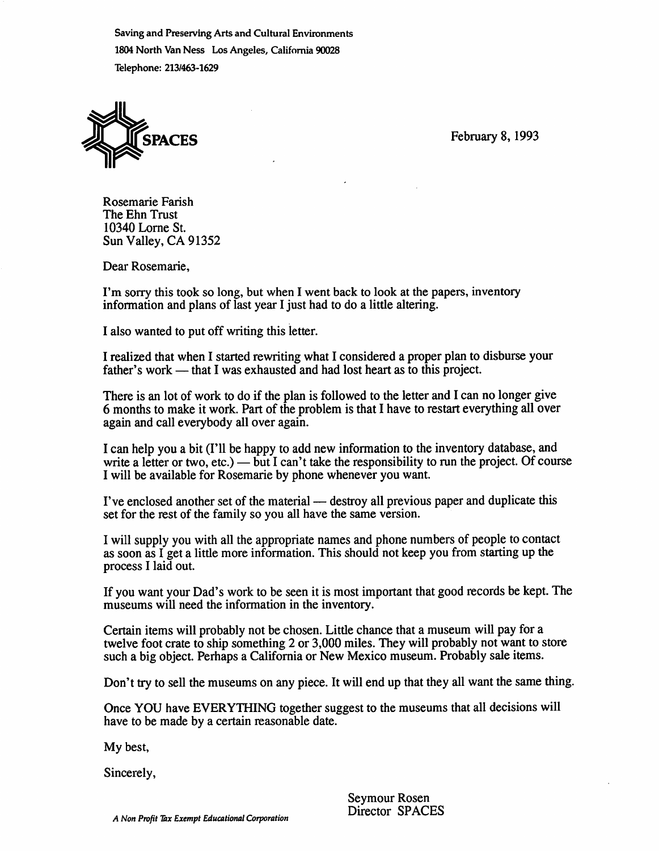Saving and Preserving Arts and Cultural Environments 1804 North Van Ness Los Angeles, California 90028 Telephone: 213/463-1629



SPACES February 8, 1993

Rosemarie Farish The Ehn Trust 10340 Lome St. Sun Valley, CA 91352

Dear Rosemarie,

I'm sorry this took so long, but when I went back to look at the papers, inventory information and plans of last year I just had to do a little altering.

I also wanted to put off writing this letter.

I realized that when I started rewriting what I considered a proper plan to disburse your father's work — that I was exhausted and had lost heart as to this project.

There is an lot of work to do if the plan is followed to the letter and I can no longer give 6 months to make it work. Part of the problem is that I have to restart everything all over again and call everybody all over again.

I can help you a bit (I'll be happy to add new information to the inventory database, and write a letter or two, etc.) — but I can't take the responsibility to run the project. Of course I will be available for Rosemarie by phone whenever you want,

I've enclosed another set of the material — destroy all previous paper and duplicate this set for the rest of the family so you all have the same version.

I will supply you with all the appropriate names and phone numbers of people to contact as soon as I get a little more information. This should not keep you from starting up the process I laid out.

If you want your Dad's work to be seen it is most important that good records be kept. The museums will need the information in the inventory.

Certain items will probably not be chosen. Litde chance that a museum will pay for a twelve foot crate to ship something 2 or 3,000 miles. They will probably not want to store such a big object. Perhaps a California or New Mexico museum. Probably sale items.

Don't try to sell the museums on any piece. It will end up that they all want the same thing.

Once YOU have EVERYTHING together suggest to the museums that all decisions will have to be made by a certain reasonable date.

My best.

Sincerely,